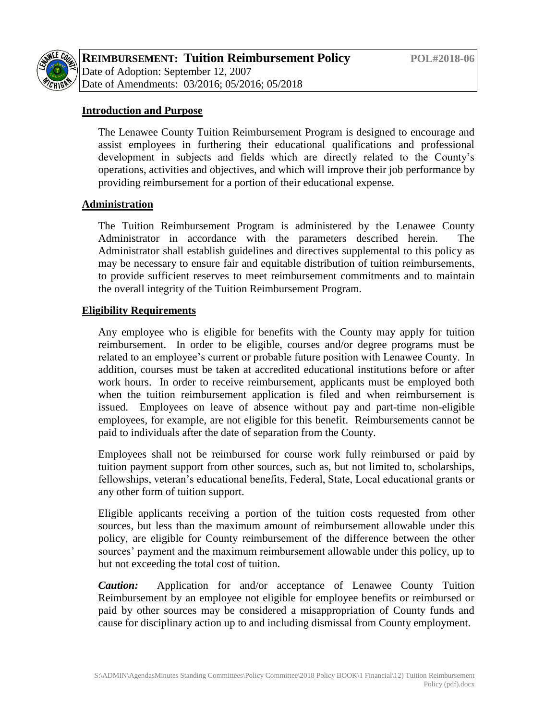

## **Introduction and Purpose**

The Lenawee County Tuition Reimbursement Program is designed to encourage and assist employees in furthering their educational qualifications and professional development in subjects and fields which are directly related to the County's operations, activities and objectives, and which will improve their job performance by providing reimbursement for a portion of their educational expense.

## **Administration**

The Tuition Reimbursement Program is administered by the Lenawee County Administrator in accordance with the parameters described herein. The Administrator shall establish guidelines and directives supplemental to this policy as may be necessary to ensure fair and equitable distribution of tuition reimbursements, to provide sufficient reserves to meet reimbursement commitments and to maintain the overall integrity of the Tuition Reimbursement Program.

#### **Eligibility Requirements**

Any employee who is eligible for benefits with the County may apply for tuition reimbursement. In order to be eligible, courses and/or degree programs must be related to an employee's current or probable future position with Lenawee County. In addition, courses must be taken at accredited educational institutions before or after work hours. In order to receive reimbursement, applicants must be employed both when the tuition reimbursement application is filed and when reimbursement is issued. Employees on leave of absence without pay and part-time non-eligible employees, for example, are not eligible for this benefit. Reimbursements cannot be paid to individuals after the date of separation from the County.

Employees shall not be reimbursed for course work fully reimbursed or paid by tuition payment support from other sources, such as, but not limited to, scholarships, fellowships, veteran's educational benefits, Federal, State, Local educational grants or any other form of tuition support.

Eligible applicants receiving a portion of the tuition costs requested from other sources, but less than the maximum amount of reimbursement allowable under this policy, are eligible for County reimbursement of the difference between the other sources' payment and the maximum reimbursement allowable under this policy, up to but not exceeding the total cost of tuition.

*Caution:* Application for and/or acceptance of Lenawee County Tuition Reimbursement by an employee not eligible for employee benefits or reimbursed or paid by other sources may be considered a misappropriation of County funds and cause for disciplinary action up to and including dismissal from County employment.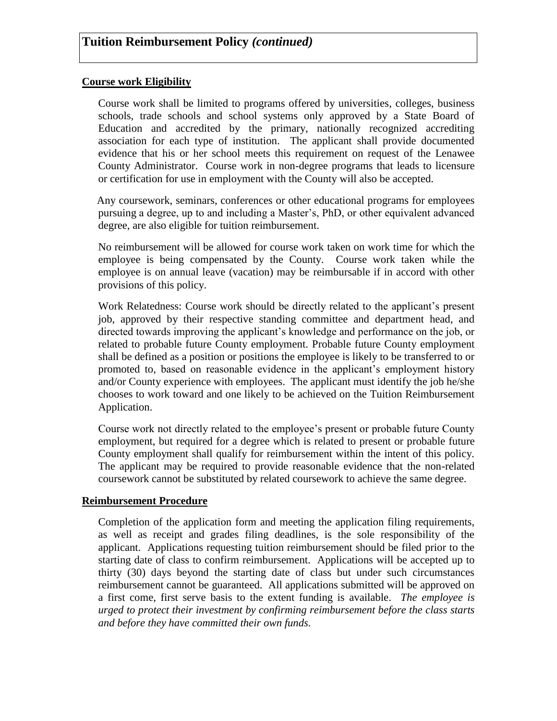#### **Course work Eligibility**

Course work shall be limited to programs offered by universities, colleges, business schools, trade schools and school systems only approved by a State Board of Education and accredited by the primary, nationally recognized accrediting association for each type of institution. The applicant shall provide documented evidence that his or her school meets this requirement on request of the Lenawee County Administrator. Course work in non-degree programs that leads to licensure or certification for use in employment with the County will also be accepted.

Any coursework, seminars, conferences or other educational programs for employees pursuing a degree, up to and including a Master's, PhD, or other equivalent advanced degree, are also eligible for tuition reimbursement.

No reimbursement will be allowed for course work taken on work time for which the employee is being compensated by the County. Course work taken while the employee is on annual leave (vacation) may be reimbursable if in accord with other provisions of this policy.

Work Relatedness: Course work should be directly related to the applicant's present job, approved by their respective standing committee and department head, and directed towards improving the applicant's knowledge and performance on the job, or related to probable future County employment. Probable future County employment shall be defined as a position or positions the employee is likely to be transferred to or promoted to, based on reasonable evidence in the applicant's employment history and/or County experience with employees. The applicant must identify the job he/she chooses to work toward and one likely to be achieved on the Tuition Reimbursement Application.

Course work not directly related to the employee's present or probable future County employment, but required for a degree which is related to present or probable future County employment shall qualify for reimbursement within the intent of this policy. The applicant may be required to provide reasonable evidence that the non-related coursework cannot be substituted by related coursework to achieve the same degree.

#### **Reimbursement Procedure**

Completion of the application form and meeting the application filing requirements, as well as receipt and grades filing deadlines, is the sole responsibility of the applicant. Applications requesting tuition reimbursement should be filed prior to the starting date of class to confirm reimbursement. Applications will be accepted up to thirty (30) days beyond the starting date of class but under such circumstances reimbursement cannot be guaranteed. All applications submitted will be approved on a first come, first serve basis to the extent funding is available. *The employee is urged to protect their investment by confirming reimbursement before the class starts and before they have committed their own funds.*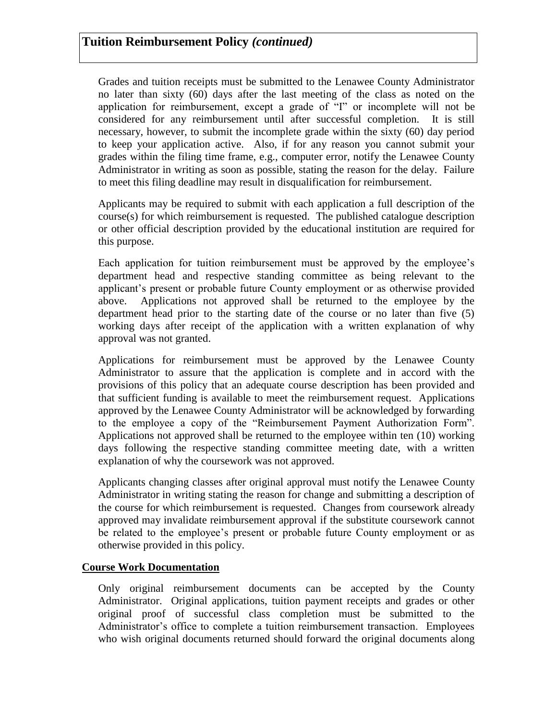Grades and tuition receipts must be submitted to the Lenawee County Administrator no later than sixty (60) days after the last meeting of the class as noted on the application for reimbursement, except a grade of "I" or incomplete will not be considered for any reimbursement until after successful completion. It is still necessary, however, to submit the incomplete grade within the sixty (60) day period to keep your application active. Also, if for any reason you cannot submit your grades within the filing time frame, e.g., computer error, notify the Lenawee County Administrator in writing as soon as possible, stating the reason for the delay. Failure to meet this filing deadline may result in disqualification for reimbursement.

Applicants may be required to submit with each application a full description of the course(s) for which reimbursement is requested. The published catalogue description or other official description provided by the educational institution are required for this purpose.

Each application for tuition reimbursement must be approved by the employee's department head and respective standing committee as being relevant to the applicant's present or probable future County employment or as otherwise provided above. Applications not approved shall be returned to the employee by the department head prior to the starting date of the course or no later than five (5) working days after receipt of the application with a written explanation of why approval was not granted.

Applications for reimbursement must be approved by the Lenawee County Administrator to assure that the application is complete and in accord with the provisions of this policy that an adequate course description has been provided and that sufficient funding is available to meet the reimbursement request. Applications approved by the Lenawee County Administrator will be acknowledged by forwarding to the employee a copy of the "Reimbursement Payment Authorization Form". Applications not approved shall be returned to the employee within ten (10) working days following the respective standing committee meeting date, with a written explanation of why the coursework was not approved.

Applicants changing classes after original approval must notify the Lenawee County Administrator in writing stating the reason for change and submitting a description of the course for which reimbursement is requested. Changes from coursework already approved may invalidate reimbursement approval if the substitute coursework cannot be related to the employee's present or probable future County employment or as otherwise provided in this policy.

## **Course Work Documentation**

Only original reimbursement documents can be accepted by the County Administrator. Original applications, tuition payment receipts and grades or other original proof of successful class completion must be submitted to the Administrator's office to complete a tuition reimbursement transaction. Employees who wish original documents returned should forward the original documents along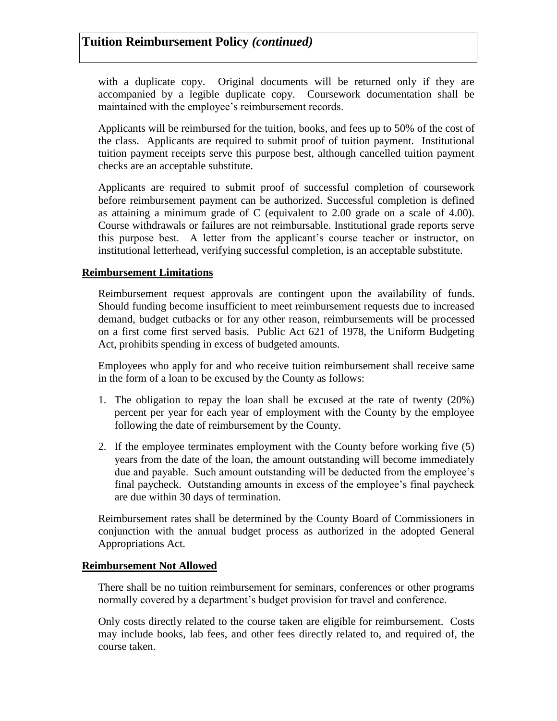with a duplicate copy. Original documents will be returned only if they are accompanied by a legible duplicate copy. Coursework documentation shall be maintained with the employee's reimbursement records.

Applicants will be reimbursed for the tuition, books, and fees up to 50% of the cost of the class. Applicants are required to submit proof of tuition payment. Institutional tuition payment receipts serve this purpose best, although cancelled tuition payment checks are an acceptable substitute.

Applicants are required to submit proof of successful completion of coursework before reimbursement payment can be authorized. Successful completion is defined as attaining a minimum grade of C (equivalent to 2.00 grade on a scale of 4.00). Course withdrawals or failures are not reimbursable. Institutional grade reports serve this purpose best. A letter from the applicant's course teacher or instructor, on institutional letterhead, verifying successful completion, is an acceptable substitute.

## **Reimbursement Limitations**

Reimbursement request approvals are contingent upon the availability of funds. Should funding become insufficient to meet reimbursement requests due to increased demand, budget cutbacks or for any other reason, reimbursements will be processed on a first come first served basis. Public Act 621 of 1978, the Uniform Budgeting Act, prohibits spending in excess of budgeted amounts.

Employees who apply for and who receive tuition reimbursement shall receive same in the form of a loan to be excused by the County as follows:

- 1. The obligation to repay the loan shall be excused at the rate of twenty (20%) percent per year for each year of employment with the County by the employee following the date of reimbursement by the County.
- 2. If the employee terminates employment with the County before working five (5) years from the date of the loan, the amount outstanding will become immediately due and payable. Such amount outstanding will be deducted from the employee's final paycheck. Outstanding amounts in excess of the employee's final paycheck are due within 30 days of termination.

Reimbursement rates shall be determined by the County Board of Commissioners in conjunction with the annual budget process as authorized in the adopted General Appropriations Act.

#### **Reimbursement Not Allowed**

There shall be no tuition reimbursement for seminars, conferences or other programs normally covered by a department's budget provision for travel and conference.

Only costs directly related to the course taken are eligible for reimbursement. Costs may include books, lab fees, and other fees directly related to, and required of, the course taken.